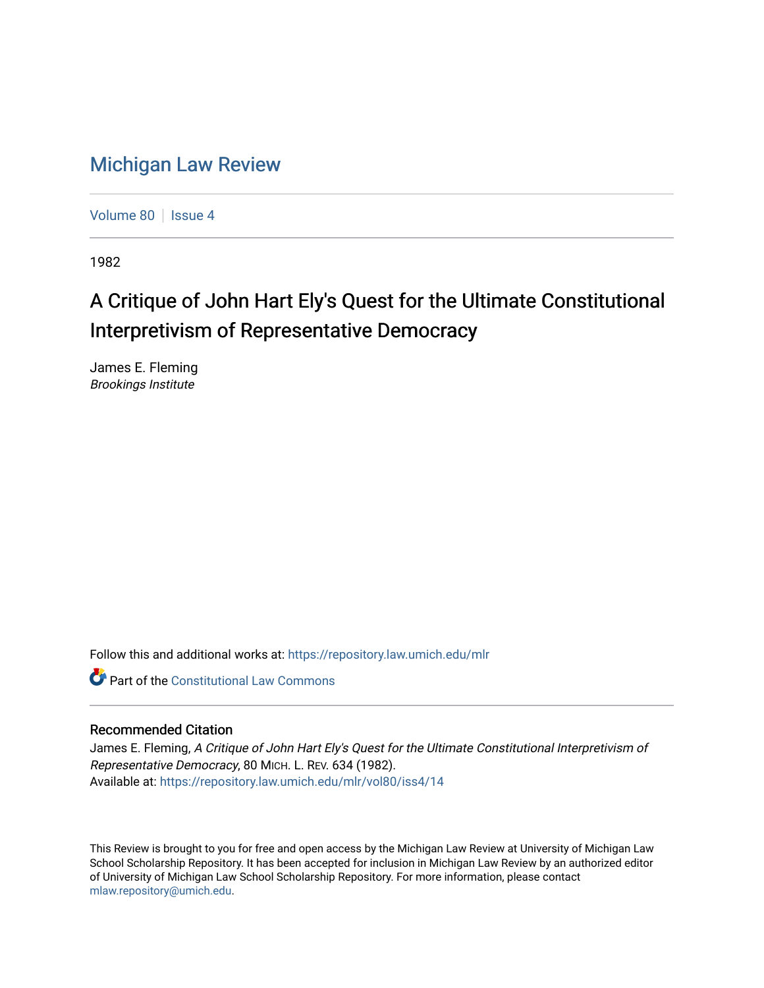## [Michigan Law Review](https://repository.law.umich.edu/mlr)

[Volume 80](https://repository.law.umich.edu/mlr/vol80) | [Issue 4](https://repository.law.umich.edu/mlr/vol80/iss4)

1982

# A Critique of John Hart Ely's Quest for the Ultimate Constitutional Interpretivism of Representative Democracy

James E. Fleming Brookings Institute

Follow this and additional works at: [https://repository.law.umich.edu/mlr](https://repository.law.umich.edu/mlr?utm_source=repository.law.umich.edu%2Fmlr%2Fvol80%2Fiss4%2F14&utm_medium=PDF&utm_campaign=PDFCoverPages) 

**Part of the Constitutional Law Commons** 

#### Recommended Citation

James E. Fleming, A Critique of John Hart Ely's Quest for the Ultimate Constitutional Interpretivism of Representative Democracy, 80 MICH. L. REV. 634 (1982). Available at: [https://repository.law.umich.edu/mlr/vol80/iss4/14](https://repository.law.umich.edu/mlr/vol80/iss4/14?utm_source=repository.law.umich.edu%2Fmlr%2Fvol80%2Fiss4%2F14&utm_medium=PDF&utm_campaign=PDFCoverPages) 

This Review is brought to you for free and open access by the Michigan Law Review at University of Michigan Law School Scholarship Repository. It has been accepted for inclusion in Michigan Law Review by an authorized editor of University of Michigan Law School Scholarship Repository. For more information, please contact [mlaw.repository@umich.edu.](mailto:mlaw.repository@umich.edu)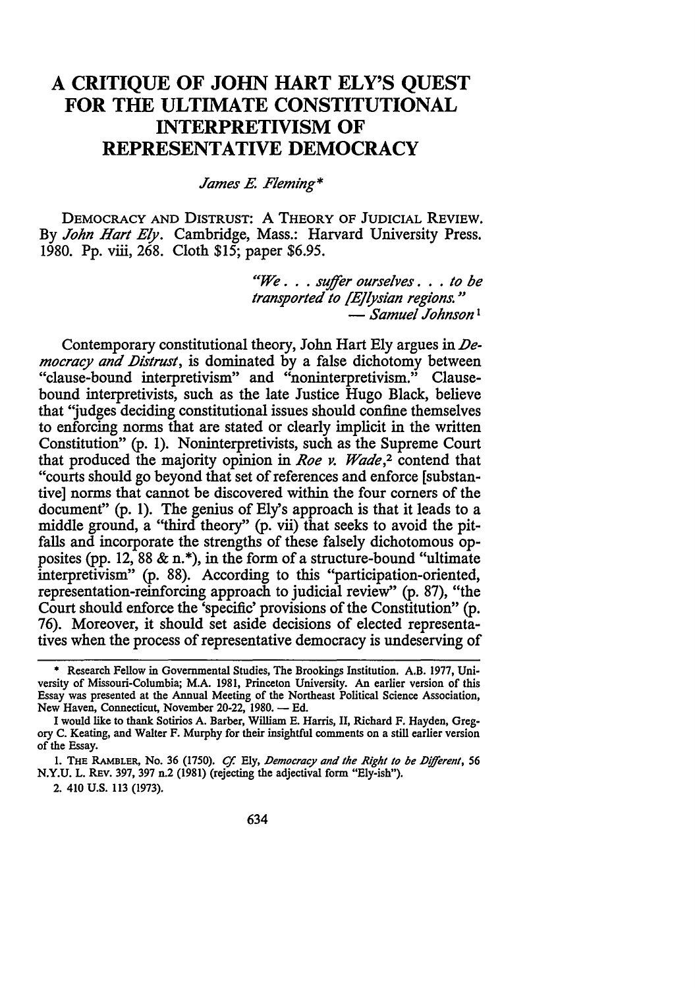### **A CRITIQUE OF JOHN HART ELY'S QUEST FOR THE ULTIMATE CONSTITUTIONAL INTERPRETIVISM OF REPRESENTATIVE DEMOCRACY**

James E. Fleming\*

DEMOCRACY AND DISTRUST: A THEORY OF JUDICIAL REVIEW. By *John Hart Ely.* Cambridge, Mass.: Harvard University Press. 1980. Pp. viii, 268. Cloth \$15; paper \$6.95.

> *"We* . . . *suffer ourselves* . . . *to be transported to /E]lysian regions."*  - *Samuel Johnson* <sup>1</sup>

Contemporary constitutional theory, John Hart Ely argues in *Democracy and Distrust*, is dominated by a false dichotomy between "clause-bound interpretivism" and "noninterpretivism." Clausebound interpretivists, such as the late Justice Hugo Black, believe that 'judges deciding constitutional issues should confine themselves to enforcing norms that are stated or clearly implicit in the written Constitution" (p. 1). Noninterpretivists, such as the Supreme Court that produced the majority opinion in *Roe v. Wade*,<sup>2</sup> contend that "courts should go beyond that set of references and enforce [substantive] norms that cannot be discovered within the four comers of the document" (p. I). The genius of Ely's approach is that it leads to a middle ground, a "third theory" (p. vii) that seeks to avoid the pitfalls and incorporate the strengths of these falsely dichotomous opposites (pp. 12, 88  $\&$  n.<sup>\*</sup>), in the form of a structure-bound "ultimate" interpretivism" (p. 88). According to this "participation-oriented, representation-reinforcing approach to judicial review" (p. 87), "the Court should enforce the 'specific' provisions of the Constitution" (p. 76). Moreover, it should set aside decisions of elected representatives when the process of representative democracy is undeserving of

2. 410 U.S. 113 (1973).

<sup>•</sup> Research Fellow in Governmental Studies, The Brookings Institution. A.B. 1977, University of Missouri-Columbia; **M.A.** 1981, Princeton University. An earlier version of this Essay was presented at the Annual Meeting of the Northeast Political Science Association, New Haven, Connecticut, November 20-22, 1980. - Ed.

I would like to thank Sotirios A. Barber, William E. Harris, II, Richard F. Hayden, Gregory C. Keating, and Walter F. Murphy for their insightful comments on a still earlier version of the Essay.

<sup>1.</sup> THE RAMBLER, No. 36 (1750). *Cf.* Ely, *Democracy and the Right to be Different*, 56 N.Y.U. L. REv. 397, 397 n.2 (1981) (rejecting the adjectival form "Ely-ish"),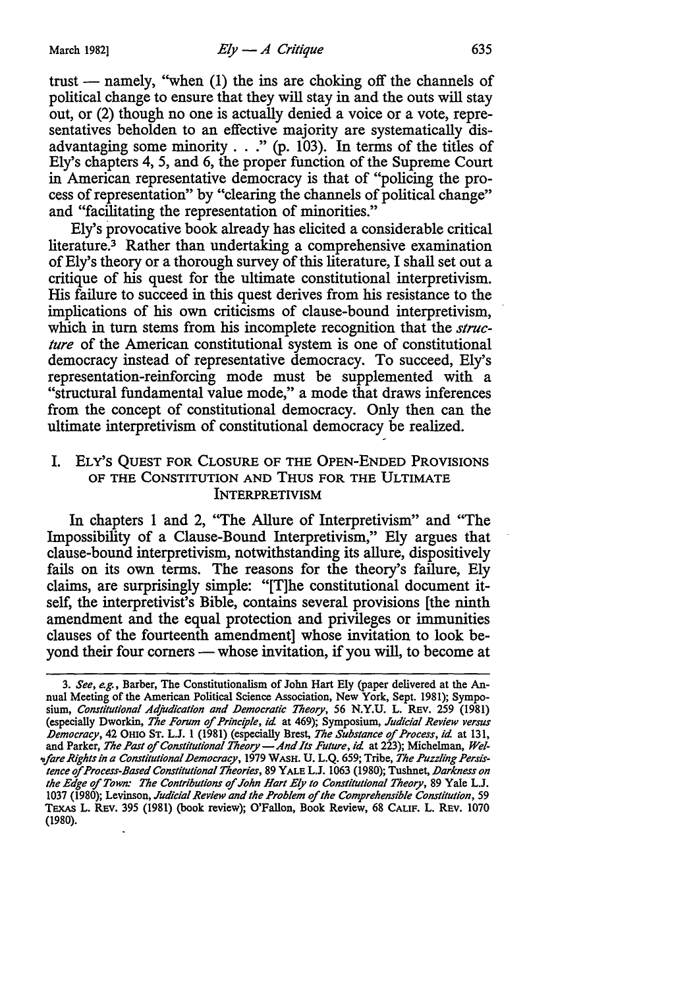trust  $-$  namely, "when (1) the ins are choking off the channels of political change to ensure that they will stay in and the outs will stay out, or (2) though no one is actually denied a voice or a vote, representatives beholden to an effective majority are systematically disadvantaging some minority . . ." (p. 103). In terms of the titles of Ely's chapters 4, 5, and 6, the proper function of the Supreme Court in American representative democracy is that of "policing the process of representation" by "clearing the channels of political change" and "facilitating the representation of minorities."

Ely's provocative book already has elicited a considerable critical literature.3 Rather than undertaking a comprehensive examination of Ely's theory or a thorough survey of this literature, I shall set out a critique of his quest for the ultimate constitutional interpretivism. His failure to succeed in this quest derives from his resistance to the implications of his own criticisms of clause-bound interpretivism, which in tum stems from his incomplete recognition that the *structure* of the American constitutional system is one of constitutional democracy instead of representative democracy. To succeed, Ely's representation-reinforcing mode must be supplemented with a "structural fundamental value mode," a mode that draws inferences from the concept of constitutional democracy. Only then can the ultimate interpretivism of constitutional democracy be realized.

#### I. ELY'S QUEST FOR CLOSURE OF THE OPEN-ENDED PROVISIONS OF THE CONSTITUTION AND THUS FOR THE ULTIMATE **INTERPRETIVISM**

In chapters 1 and 2, ''The Allure of Interpretivism" and "The Impossibility of a Clause-Bound Interpretivism," Ely argues that clause-bound interpretivism, notwithstanding its allure, dispositively fails on its own terms. The reasons for the theory's failure, Ely claims, are surprisingly simple: "[T]he constitutional document itself, the interpretivist's Bible, contains several provisions [the ninth amendment and the equal protection and privileges or immunities clauses of the fourteenth amendment] whose invitation to look beyond their four corners — whose invitation, if you will, to become at

<sup>3.</sup> *See, e.g.,* Barber, The Constitutionalism of John Hart Ely (paper delivered at the Annual Meeting of the American Political Science Association, New York, Sept. 1981); Symposium, *Constitutional Adjudication and Democratic Theory,* 56 N.Y.U. L. REv. 259 (1981) (especially Dworkin, *The Forum* of *Principle, id* at 469); Symposium, *Judicial Review versus Democracy,* 42 OHIO ST. LJ. l (1981) (especially Brest, *The Substance* of *Process, id* at 131, and Parker, *The Past* of *Constitutional Theory-And Its Future, id* at 223); Michelman, *Wel- "'fare Rights in a Constitutional Democracy,* 1979 WASH. U. L.Q. 659; Tribe, *The Puzzling Persistence* of *Process-Based Constitutional Theories,* 89 YALE L.J. 1063 (1980); Tushnet, *Darkness on the Edge* of *Town: The Contributions* of *John Hart Ely to Constitutional Theory,* 89 Yale L.J. 1037 (1980); Levinson, *Judicial Review and the Problem* of *the Comprehensible Constitution,* 59 TEXAS L. REV. 395 (1981) (book review); O'Fallon, Book Review, 68 CALIF. L. REV. 1070 (1980).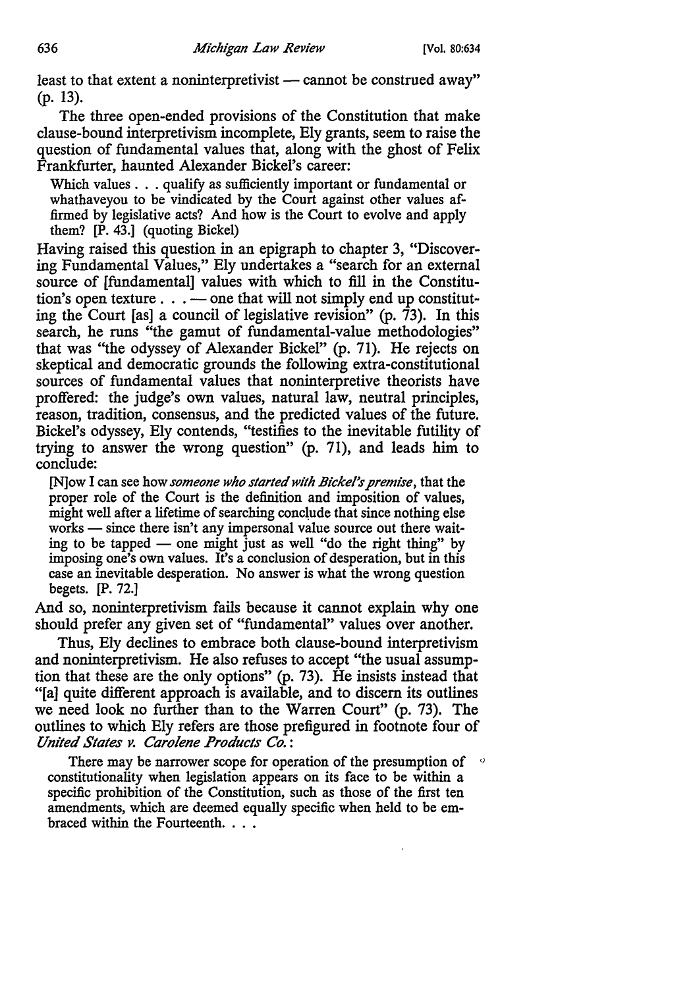least to that extent a noninterpretivist — cannot be construed away" (p. 13).

The three open-ended provisions of the Constitution that make clause-bound interpretivism incomplete, Ely grants, seem to raise the question of fundamental values that, along with the ghost of Felix Frankfurter, haunted Alexander Bickel's career:

Which values . . . qualify as sufficiently important or fundamental or whathaveyou to be vindicated by the Court against other values affirmed by legislative acts? And how is the Court to evolve and apply them? [P. 43.] (quoting Bickel)

Having raised this question in an epigraph to chapter 3, "Discovering Fundamental Values," Ely undertakes a "search for an external source of [fundamental] values with which to fill in the Constitution's open texture  $\ldots$  - one that will not simply end up constituting the Court [as] a council of legislative revision" (p. 73). In this search, he runs "the gamut of fundamental-value methodologies" that was "the odyssey of Alexander Bickel" (p. 71). He rejects on skeptical and democratic grounds the following extra-constitutional sources of fundamental values that noninterpretive theorists have proffered: the judge's own values, natural law, neutral principles, reason, tradition, consensus, and the predicted values of the future. Bickel's odyssey, Ely contends, "testifies to the inevitable futility of trying to answer the wrong question" (p. 71), and leads him to conclude:

[N]ow I can see how *someone who started with Bicke/'s premise,* that the proper role of the Court is the definition and imposition of values, might well after a lifetime of searching conclude that since nothing else works  $-$  since there isn't any impersonal value source out there waiting to be tapped  $-$  one might just as well "do the right thing" by imposing one's own values. It's a conclusion of desperation, but in this case an inevitable desperation. No answer is what the wrong question begets. [P. 72.]

And so, noninterpretivism fails because it cannot explain why one should prefer any given set of "fundamental" values over another.

Thus, Ely declines to embrace both clause-bound interpretivism and noninterpretivism. He also refuses to accept "the usual assumption that these are the only options" (p. 73). He insists instead that "[a] quite different approach is available, and to discern its outlines we need look no further than to the Warren Court" (p. 73). The outlines to which Ely refers are those prefigured in footnote four of *United States v. Carolene Products Co.* :

There may be narrower scope for operation of the presumption of *' 1*  constitutionality when legislation appears on its face to be within a specific prohibition of the Constitution, such as those of the first ten amendments, which are deemed equally specific when held to be embraced within the Fourteenth. . . .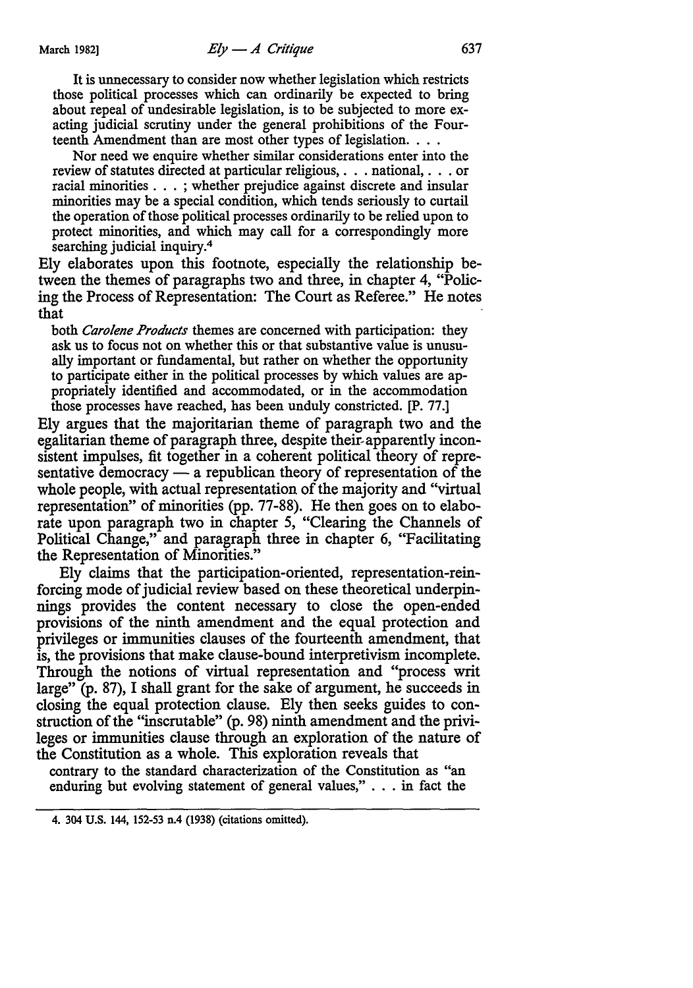It is unnecessary to consider now whether legislation which restricts those political processes which can ordinarily be expected to bring about repeal of undesirable legislation, is to be subjected to more exacting judicial scrutiny under the general prohibitions of the Fourteenth Amendment than are most other types of legislation. . . .

Nor need we enquire whether similar considerations enter into the review of statutes directed at particular religious, . . . national, . . . or racial minorities . . . ; whether prejudice against discrete and insular minorities may be a special condition, which tends seriously to curtail the operation of those political processes ordinarily to be relied upon to protect minorities, and which may call for a correspondingly more searching judicial inquiry.<sup>4</sup>

Ely elaborates upon this footnote, especially the relationship between the themes of paragraphs two and three, in chapter 4, "Policing the Process of Representation: The Court as Referee." He notes that **the contract of the contract of the contract of the contract of the contract of the contract of the contract of the contract of the contract of the contract of the contract of the contract of the contract of the cont** 

both *Carotene Products* themes are concerned with participation: they ask us to focus not on whether this or that substantive value is unusually important or fundamental, but rather on whether the opportunity to participate either in the political processes by which values are appropriately identified and accommodated, or in the accommodation those processes have reached, has been unduly constricted. [P. 77.]

Ely argues that the majoritarian theme of paragraph two and the egalitarian theme of paragraph three, despite their-apparently inconsistent impulses, fit together in a coherent political theory of representative democracy  $-$  a republican theory of representation of the whole people, with actual representation of the majority and "virtual representation" of minorities (pp. 77-88). He then goes on to elaborate upon paragraph two in chapter 5, "Clearing the Channels of Political Change," and paragraph three in chapter 6, "Facilitating the Representation of Minorities."

Ely claims that the participation-oriented, representation-reinforcing mode of judicial review based on these theoretical underpinnings provides the content necessary to close the open-ended provisions of the ninth amendment and the equal protection and privileges or immunities clauses of the fourteenth amendment, that is, the provisions that make clause-bound interpretivism incomplete. Through the notions of virtual representation and "process writ large" (p. 87), I shall grant for the sake of argument, he succeeds in closing the equal protection clause. Ely then seeks guides to construction of the "inscrutable" (p. 98) ninth amendment and the privileges or immunities clause through an exploration of the nature of the Constitution as a whole. This exploration reveals that

contrary to the standard characterization of the Constitution as "an enduring but evolving statement of general values," ... in fact the

<sup>4. 304</sup> U.S. 144, 152-53 n.4 (1938) (citations omitted).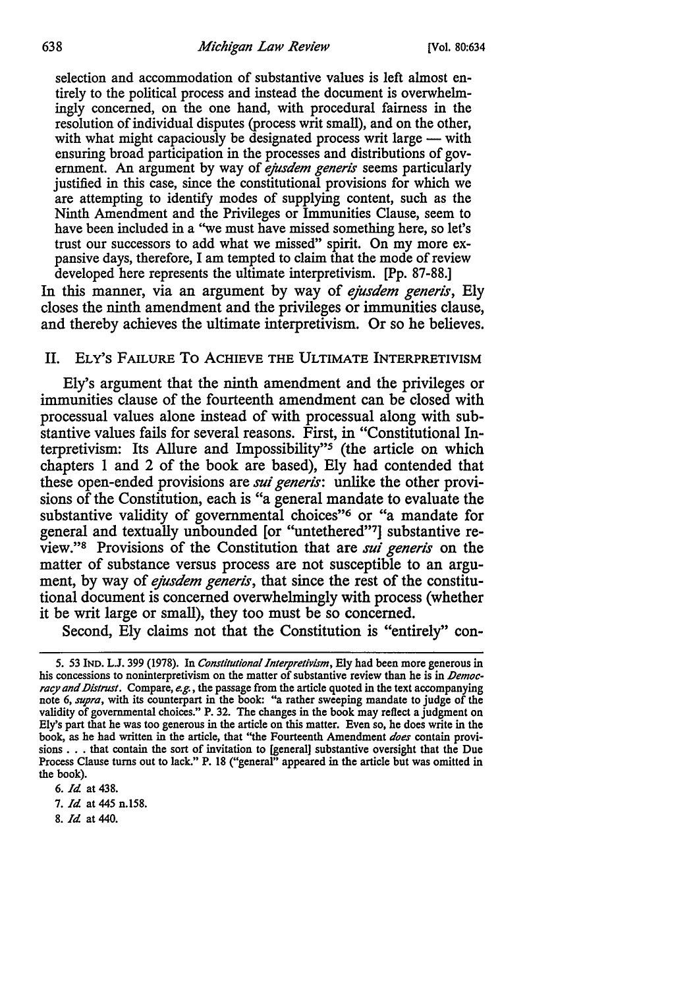selection and accommodation of substantive values is left almost entirely to the political process and instead the document is overwhelmingly concerned, on the one hand, with procedural fairness in the resolution of individual disputes (process writ small), and on the other, with what might capaciously be designated process writ large  $-$  with ensuring broad participation in the processes and distributions of government. An argument by way of *ejusdem generis* seems particularly justified in this case, since the constitutional provisions for which we are attempting to identify modes of supplying content, such as the Ninth Amendment and the Privileges or Immunities Clause, seem to have been included in a ''we must have missed something here, so let's trust our successors to add what we missed" spirit. On my more expansive days, therefore, I am tempted to claim that the mode of review developed here represents the ultimate interpretivism. [Pp. 87-88.]

In this manner, via an argument by way of *ejusdem generis,* Ely closes the ninth amendment and the privileges or immunities clause, and thereby achieves the ultimate interpretivism. Or so he believes.

#### II. ELY'S FAILURE To ACHIEVE THE ULTIMATE lNTERPRETIVISM

Ely's argument that the ninth amendment and the privileges or immunities clause of the fourteenth amendment can be closed with processual values alone instead of with processual along with substantive values fails for several reasons. First, in "Constitutional Interpretivism: Its Allure and Impossibility"5 (the article on which chapters 1 and 2 of the book are based), Ely had contended that these open-ended provisions are *sui generis:* unlike the other provisions of the Constitution, each is "a general mandate to evaluate the substantive validity of governmental choices"<sup>6</sup> or "a mandate for general and textually unbounded [or "untethered"'] substantive review."8 Provisions of the Constitution that are *sui generis* on the matter of substance versus process are not susceptible to an argument, by way of *ejusdem generis,* that since the rest of the constitutional document is concerned overwhelmingly with process (whether it be writ large or small), they too must be so concerned.

Second, Ely claims not that the Constitution is "entirely" con-

6. *Id* at 438.

7. *Id* at 445 n.158.

8. *Id* at 440.

<sup>5. 53</sup> IND. LJ. 399 (1978). In *Constitutional Interpretivism,* Ely had been more generous in his concessions to noninterpretivism on the matter of substantive review than he is in *Democ*racy and Distrust. Compare, e.g., the passage from the article quoted in the text accompanying note 6, *supra,* with its counterpart in the book: "a rather sweeping mandate to judge of the validity of governmental choices." P. 32. The changes in the book may reflect a judgment on Ely's part that he was too generous in the article on this matter. Even so, he does write in the book, as he had written in the article, that ''the Fourteenth Amendment *does* contain provisions . . . that contain the sort of invitation to [general] substantive oversight that the Due Process Clause turns out to lack." P. 18 ("general" appeared in the article but was omitted in the book).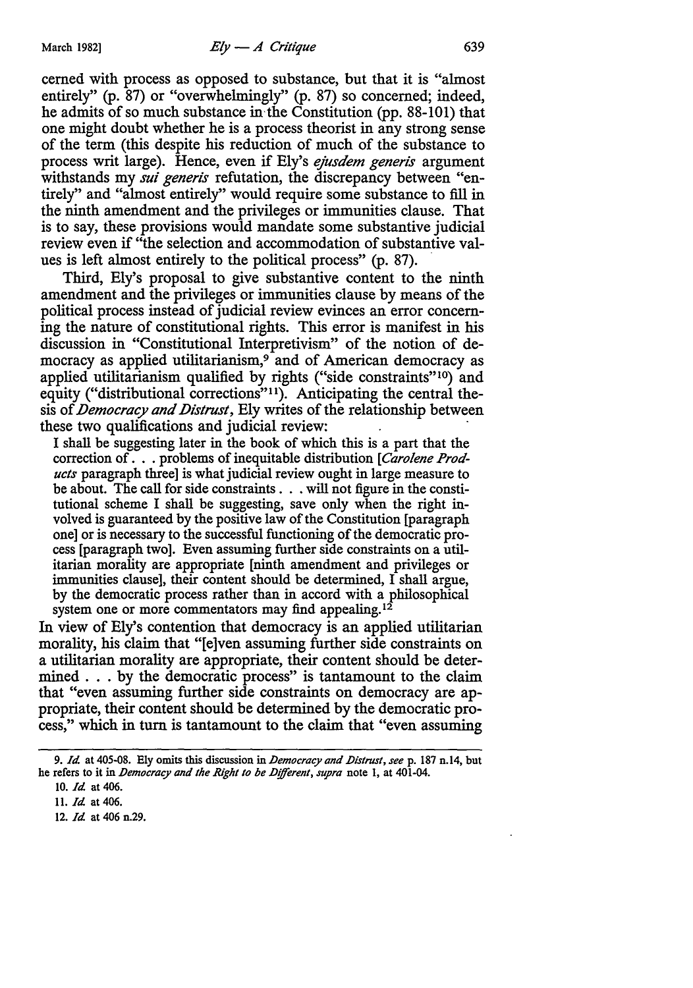cerned with process as opposed to substance, but that it is "almost entirely" (p. 87) or "overwhelmingly" (p. 87) so concerned; indeed, he admits of so much substance in-the Constitution (pp. 88-101) that one might doubt whether he is a process theorist in any strong sense of the term (this despite his reduction of much of the substance to process writ large). Hence, even if Ely's *ejusdem generis* argument withstands my *sui generis* refutation, the discrepancy between "entirely" and "almost entirely" would require some substance to fill in the ninth amendment and the privileges or immunities clause. That is to say, these provisions would mandate some substantive judicial review even if "the selection and accommodation of substantive values is left almost entirely to the political process" (p. 87).

Third, Ely's proposal to give substantive content to the ninth amendment and the privileges or immunities clause by means of the political process instead of judicial review evinces an error concerning the nature of constitutional rights. This error is manifest in his discussion in "Constitutional Interpretivism" of the notion of democracy as applied utilitarianism,<sup>9</sup> and of American democracy as applied utilitarianism qualified by rights ("side constraints"<sup>10</sup>) and equity ("distributional corrections"<sup>11</sup>). Anticipating the central thesis of *Democracy and Distrust,* Ely writes of the relationship between these two qualifications and judicial review:

I shall be suggesting later in the book of which this is a part that the correction of. . . problems of inequitable distribution [ *Carotene Products* paragraph three] is what judicial review ought in large measure to be about. The call for side constraints ... will not figure in the constitutional scheme I shall be suggesting, save only when the right involved is guaranteed by the positive law of the Constitution [paragraph one] or is necessary to the successful functioning of the democratic process [paragraph two]. Even assuming further side constraints on a utilitarian morality are appropriate [ninth amendment and privileges or immunities clause], their content should be determined, I shall argue, by the democratic process rather than in accord with a philosophical system one or more commentators may find appealing.<sup>12</sup>

In view of Ely's contention that democracy is an applied utilitarian morality, his claim that "[e]ven assuming further side constraints on a utilitarian morality are appropriate, their content should be determined . . . by the democratic process" is tantamount to the claim that "even assuming further side constraints on democracy are appropriate, their content should be determined by the democratic process," which in tum is tantamount to the claim that "even assuming

<sup>9.</sup> *Id* at 405-08. Ely omits this discussion in *Democracy and Distrust, see* p. 187 n.14, but he refers to it in *Democracy and the Right to be Different, supra* note 1, at 401-04.

<sup>10.</sup> *Id* at 406.

l l. *Id* at 406.

<sup>12.</sup> *Id* at 406 n.29.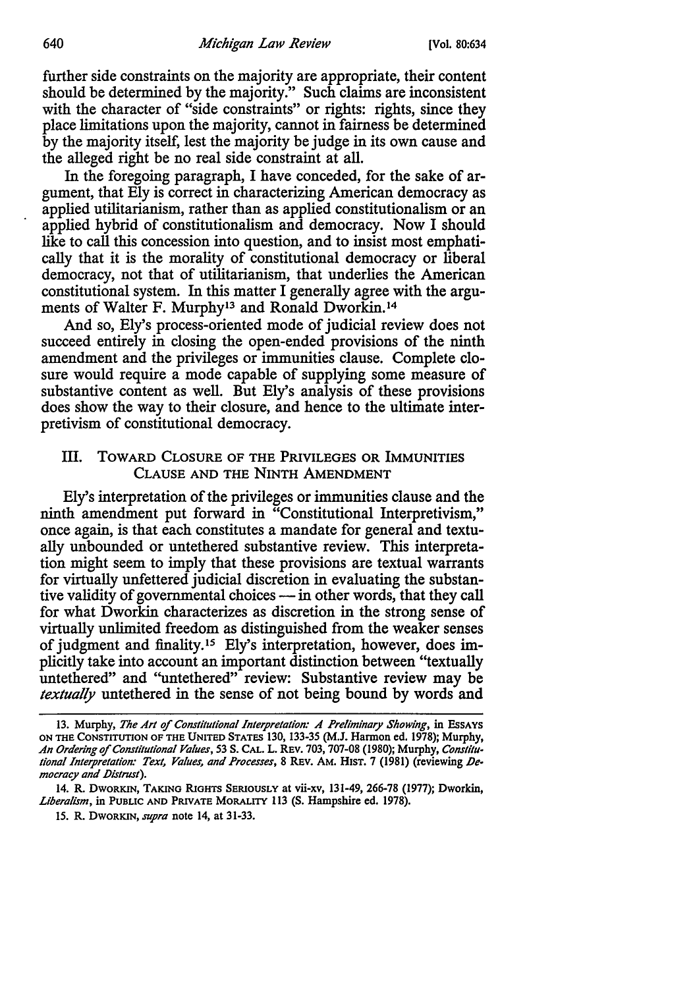further side constraints on the majority are appropriate, their content should be determined by the majority." Such claims are inconsistent with the character of "side constraints" or rights: rights, since they place limitations upon the majority, cannot in fairness be determined by the majority itself, lest the majority be judge in its own cause and the alleged right be no real side constraint at all.

In the foregoing paragraph, I have conceded, for the sake of argument, that Ely is correct in characterizing American democracy as applied utilitarianism, rather than as applied constitutionalism or an applied hybrid of constitutionalism and democracy. Now I should like to call this concession into question, and to insist most emphatically that it is the morality of constitutional democracy or liberal democracy, not that of utilitarianism, that underlies the American constitutional system. In this matter I generally agree with the arguments of Walter F. Murphy13 and Ronald Dworkin.14

And so, Ely's process-oriented mode of judicial review does not succeed entirely in closing the open-ended provisions of the ninth amendment and the privileges or immunities clause. Complete closure would require a mode capable of supplying some measure of substantive content as well. But Ely's analysis of these provisions does show the way to their closure, and hence to the ultimate interpretivism of constitutional democracy.

#### III. TOWARD CLOSURE OF THE PRIVILEGES OR IMMUNITIES CLAUSE AND THE NINTH AMENDMENT

Ely's interpretation of the privileges or immunities clause and the ninth amendment put forward in "Constitutional Interpretivism," once again, is that each constitutes a mandate for general and textually unbounded or untethered substantive review. This interpretation might seem to imply that these provisions are textual warrants for virtually unfettered judicial discretion in evaluating the substantive validity of governmental choices — in other words, that they call for what Dworkin characterizes as discretion in the strong sense of virtually unlimited freedom as distinguished from the weaker senses of judgment and finality. 15 Ely's interpretation, however, does implicitly take into account an important distinction between "textually untethered" and ''untethered" review: Substantive review may be *textually* untethered in the sense of not being bound by words and

<sup>13.</sup> Murphy, *The Art* of *Constitutional Interpretation: A Preliminary Showing,* in EssAYS ON THE CONSTITUTION OF THE UNITED STATES 130, 133-35 (M.J. Hannon ed. 1978); Murphy, *An Ordering* of *Constitutional Values,* 53 S. CAL. L. REV. 703, 707-08 (1980); Murphy, *Constitu*tional Interpretation: Text, Values, and Processes, 8 REV. AM. HIST. 7 (1981) (reviewing Democracy and Distrust).

<sup>14.</sup> R. DWORKIN, TAKING RIGHTS SERIOUSLY at vii-xv, 131-49, 266-78 (1977); Dworkin, *Liberalism,* in PUBLIC AND PRIVATE MORALITY 113 (S. Hampshire ed. 1978).

<sup>15.</sup> R. DWORKIN, *supra* note 14, at 31-33.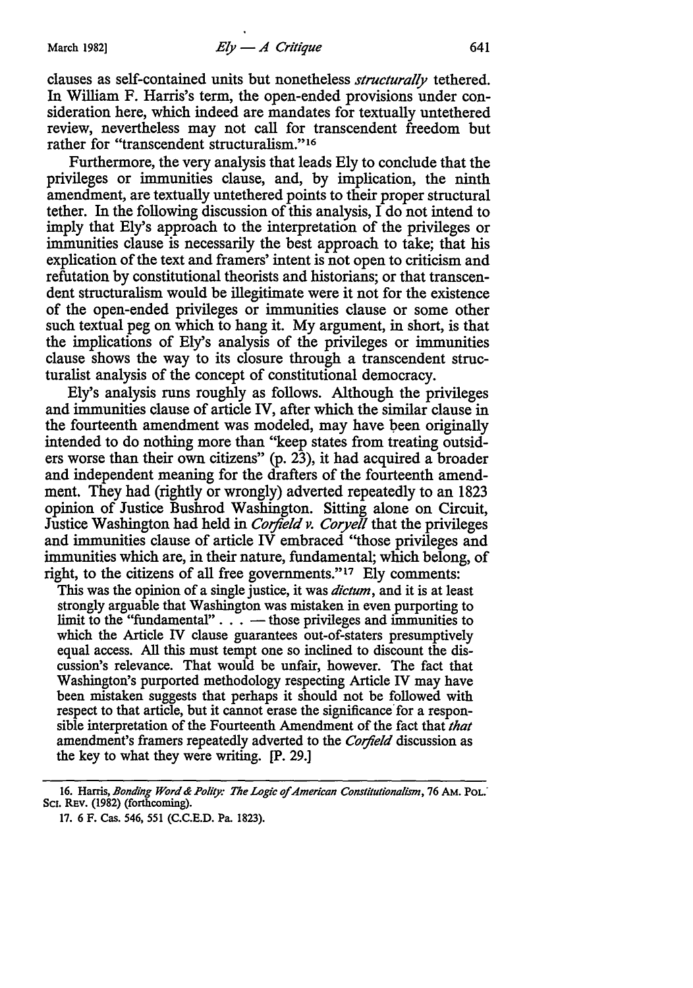clauses as self-contained units but nonetheless *structurally* tethered. In William F. Harris's term, the open-ended provisions under consideration here, which indeed are mandates for textually untethered review, nevertheless may not call for transcendent freedom but rather for "transcendent structuralism." <sup>16</sup>

Furthermore, the very analysis that leads Ely to conclude that the privileges or immunities clause, and, by implication, the ninth amendment, are textually untethered points to their proper structural tether. In the following discussion of this analysis, I do not intend to imply that Ely's approach to the interpretation of the privileges or immunities clause is necessarily the best approach to take; that his explication of the text and framers' intent is not open to criticism and refutation by constitutional theorists and historians; or that transcendent structuralism would be illegitimate were it not for the existence of the open-ended privileges or immunities clause or some other such textual peg on which to hang it. My argument, in short, is that the implications of Ely's analysis of the privileges or immunities clause shows the way to its closure through a transcendent structuralist analysis of the concept of constitutional democracy.

Ely's analysis runs roughly as follows. Although the privileges and immunities clause of article IV, after which the similar clause in the fourteenth amendment was modeled, may have been originally intended to do nothing more than "keep states from treating outsiders worse than their own citizens" (p. 23), it had acquired a broader and independent meaning for the drafters of the fourteenth amendment. They had (rightly or wrongly) adverted repeatedly to an 1823 opinion of Justice Bushrod Washington. Sitting alone on Circuit, Justice Washington had held in *C01jield v. Coryell* that the privileges and immunities clause of article IV embraced ''those privileges and immunities which are, in their nature, fundamental; which belong, of right, to the citizens of all free governments."<sup>17</sup> Ely comments:

This was the opinion of a single justice, it was *dictum,* and it is at least strongly arguable that Washington was mistaken in even purporting to limit to the "fundamental"  $\ldots$  - those privileges and immunities to which the Article IV clause guarantees out-of-staters presumptively equal access. All this must tempt one so inclined to discount the discussion's relevance. That would be unfair, however. The fact that Washington's purported methodology respecting Article IV may have been mistaken suggests that perhaps it should not be followed with respect to that article, but it cannot erase the significance for a responsible interpretation of the Fourteenth Amendment of the fact that *that*  amendment's framers repeatedly adverted to the *Corfield* discussion as the key to what they were writing. [P. 29.]

<sup>16.</sup> Harris, *Bonding Word & Polity: The Logic of American Constitutionalism,* 76 AM. PoL.' SCI. REV. (1982) (forthcoming).

<sup>17. 6</sup> F. Cas. 546, 551 (C.C.E.D. Pa. 1823).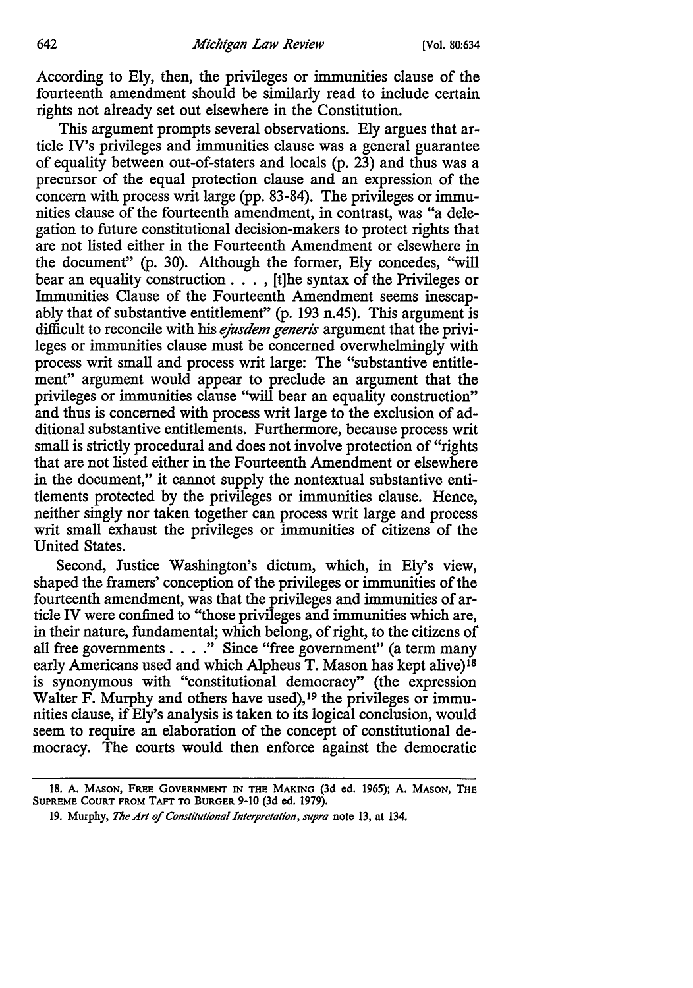According to Ely, then, the privileges or immunities clause of the fourteenth amendment should be similarly read to include certain rights not already set out elsewhere in the Constitution.

This argument prompts several observations. Ely argues that article IV's privileges and immunities clause was a general guarantee of equality between out-of-staters and locals (p. 23) and thus was a precursor of the equal protection clause and an expression of the concern with process writ large (pp. 83-84). The privileges or immunities clause of the fourteenth amendment, in contrast, was "a delegation to future constitutional decision-makers to protect rights that are not listed either in the Fourteenth Amendment or elsewhere in the document" (p. 30). Although the former, Ely concedes, "will bear an equality construction . . . , [t]he syntax of the Privileges or Immunities Clause of the Fourteenth Amendment seems inescapably that of substantive entitlement" (p. 193 n.45). This argument is difficult to reconcile with his *ejusdem generis* argument that the privileges or immunities clause must be concerned overwhelmingly with process writ small and process writ large: The "substantive entitlement" argument would appear to preclude an argument that the privileges or immunities clause ''will bear an equality construction" and thus is concerned with process writ large to the exclusion of additional substantive entitlements. Furthermore, because process writ small is strictly procedural and does not involve protection of "rights that are not listed either in the Fourteenth Amendment or elsewhere in the document," it cannot supply the nontextual substantive entitlements protected by the privileges or immunities clause. Hence, neither singly nor taken together can process writ large and process writ small exhaust the privileges or immunities of citizens of the United States.

Second, Justice Washington's dictum, which, in Ely's view, shaped the framers' conception of the privileges or immunities of the fourteenth amendment, was that the privileges and immunities of article IV were confined to "those privileges and immunities which are, in their nature, fundamental; which belong, of right, to the citizens of all free governments .... " Since "free government" (a term many early Americans used and which Alpheus T. Mason has kept alive) <sup>18</sup> is synonymous with "constitutional democracy" (the expression Walter F. Murphy and others have used),<sup>19</sup> the privileges or immunities clause, if Ely's analysis is taken to its logical conclusion, would seem to require an elaboration of the concept of constitutional democracy. The courts would then enforce against the democratic

<sup>18.</sup> A. MAsoN, FREE GOVERNMENT IN THE MAKING (3d ed. 1965); A. MASON, THE SUPREME COURT FROM TAFT TO BURGER 9-10 (3d ed. 1979).

<sup>19.</sup> Murphy, *The Art of Constitutional Interpretation, supra* note 13, at 134.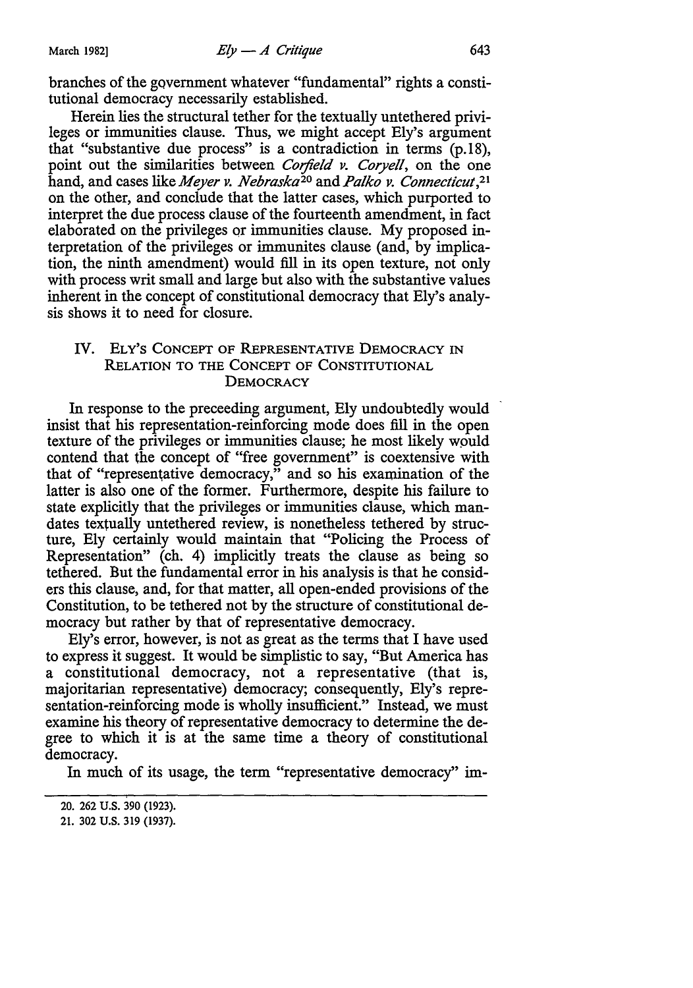branches of the government whatever "fundamental" rights a constitutional democracy necessarily established.

Herein lies the structural tether for the textually untethered privileges or immunities clause. Thus, we might accept Ely's argument that "substantive due process" is a contradiction in terms (p.18), point out the similarities between *Corfield v. Coryell*, on the one hand, and cases like *Meyer v. Nebraska* <sup>20</sup>and *Palko v. Connecticut,*<sup>21</sup> on the other, and conclude that the latter cases, which purported to interpret the due process clause of the fourteenth amendment, in fact elaborated on the privileges qr immunities clause. My proposed interpretation of the privileges or immunites clause (and, by implication, the ninth amendment) would fill in its open texture, not only with process writ small and large but also with the substantive values inherent in the concept of constitutional democracy that Ely's analysis shows it to need for closure.

#### **IV. ELY'S CONCEPT OF REPRESENTATIVE DEMOCRACY IN**  RELATION TO THE CONCEPT OF CONSTITUTIONAL **DEMOCRACY**

In response to the preceeding argument, Ely undoubtedly would insist that his representation-reinforcing mode does fill in the open texture of the privileges or immunities clause; he most likely would contend that the concept of "free government" is coextensive with that of "representative democracy," and so his examination of the latter is also one of the former. Furthermore, despite his failure to state explicitly that the privileges or immunities clause, which mandates textually untethered review, is nonetheless tethered by structure, Ely certainly would maintain that "Policing the Process of Representation" (ch. 4) implicitly treats the clause as being so tethered. But the fundamental error in his analysis is that he considers this clause, and, for that matter, all open-ended provisions of the Constitution, to be tethered not by the structure of constitutional democracy but rather by that of representative democracy.

Ely's error, however, is not as great as the terms that I have used to express it suggest. It would be simplistic to say, "But America has a constitutional democracy, not a representative (that is, majoritarian representative) democracy; consequently, Ely's representation-reinforcing mode is wholly insufficient." Instead, we must examine his theory of representative democracy to determine the degree to which it is at the same time a theory of constitutional democracy.

In much of its usage, the term "representative democracy" im-

<sup>20. 262</sup> U.S. 390 (1923).

<sup>21. 302</sup> U.S. 319 (1937).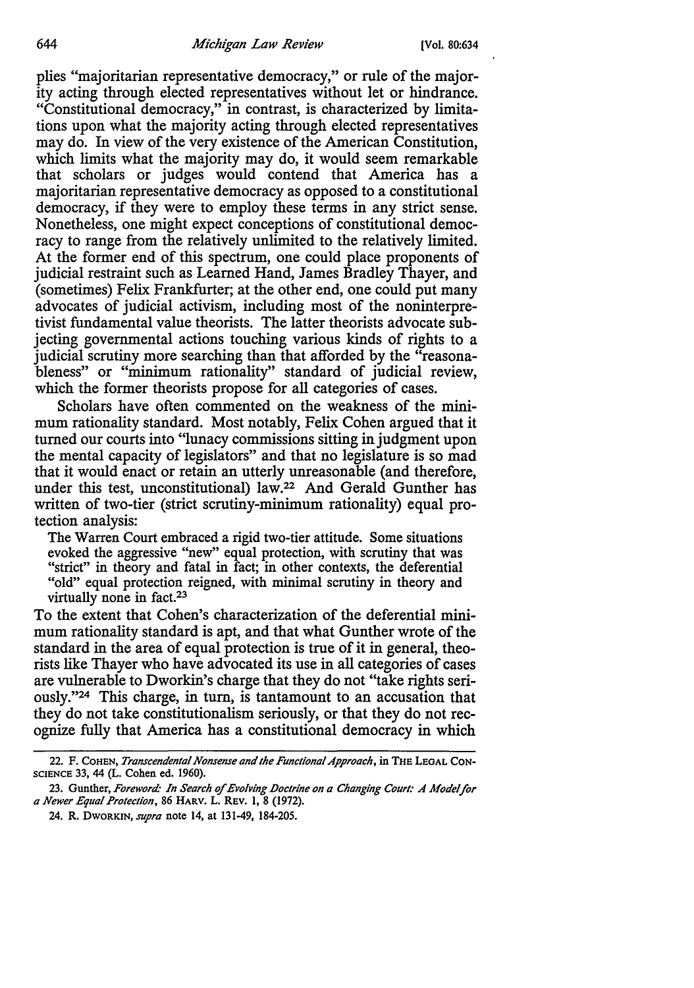#### 644 *Michigan Law Review* [Vol. 80:634

plies "majoritarian representative democracy," or rule of the majority acting through elected representatives without let or hindrance. "Constitutional democracy," in contrast, is characterized by limitations upon what the majority acting through elected representatives may do. In view of the very existence of the American Constitution, which limits what the majority may do, it would seem remarkable that scholars or judges would contend that America has a majoritarian representative democracy as opposed to a constitutional democracy, if they were to employ these terms in any strict sense. Nonetheless, one might expect conceptions of constitutional democracy to range from the relatively unlimited to the relatively limited. At the former end of this spectrum, one could place proponents of judicial restraint such as Learned Hand, James Bradley Thayer, and (sometimes) Felix Frankfurter; at the other end, one could put many advocates of judicial activism, including most of the noninterpretivist fundamental value theorists. The latter theorists advocate subjecting governmental actions touching various kinds of rights to a judicial scrutiny more searching than that afforded by the "reasonableness" or "minimum rationality" standard of judicial review, which the former theorists propose for all categories of cases.

Scholars have often commented on the weakness of the minimum rationality standard. Most notably, Felix Cohen argued that it turned our courts into "lunacy commissions sitting in judgment upon the mental capacity of legislators" and that no legislature is so mad that it would enact or retain an utterly unreasonable (and therefore, under this test, unconstitutional) law.22 And Gerald Gunther has written of two-tier (strict scrutiny-minimum rationality) equal protection analysis:

The Warren Court embraced a rigid two-tier attitude. Some situations evoked the aggressive "new" equal protection, with scrutiny that was "strict" in theory and fatal in fact; in other contexts, the deferential "old" equal protection reigned, with minimal scrutiny in theory and virtually none in fact.<sup>23</sup>

To the extent that Cohen's characterization of the deferential minimum rationality standard is apt, and that what Gunther wrote of the standard in the area of equal protection is true of it in general, theorists like Thayer who have advocated its use in all categories of cases are vulnerable to Dworkin's charge that they do not "take rights seriously."24 This charge, in tum, is tantamount to an accusation that they do not take constitutionalism seriously, or that they do not recognize fully that America has a constitutional democracy in which

<sup>22.</sup> F. COHEN, *Transcendental Nonsense and the Functional Approach,* in THE LEOAL CON· SCIENCE 33, 44 (L. Cohen ed. 1960).

<sup>23.</sup> Gunther, Foreword: In Search of Evolving Doctrine on a Changing Court: A Model for *a Newer Equal Protection,* 86 HARV. L. REV. I, 8 (1972).

<sup>24.</sup> R. DWORKIN, *supra* note 14, at 131-49, 184-205.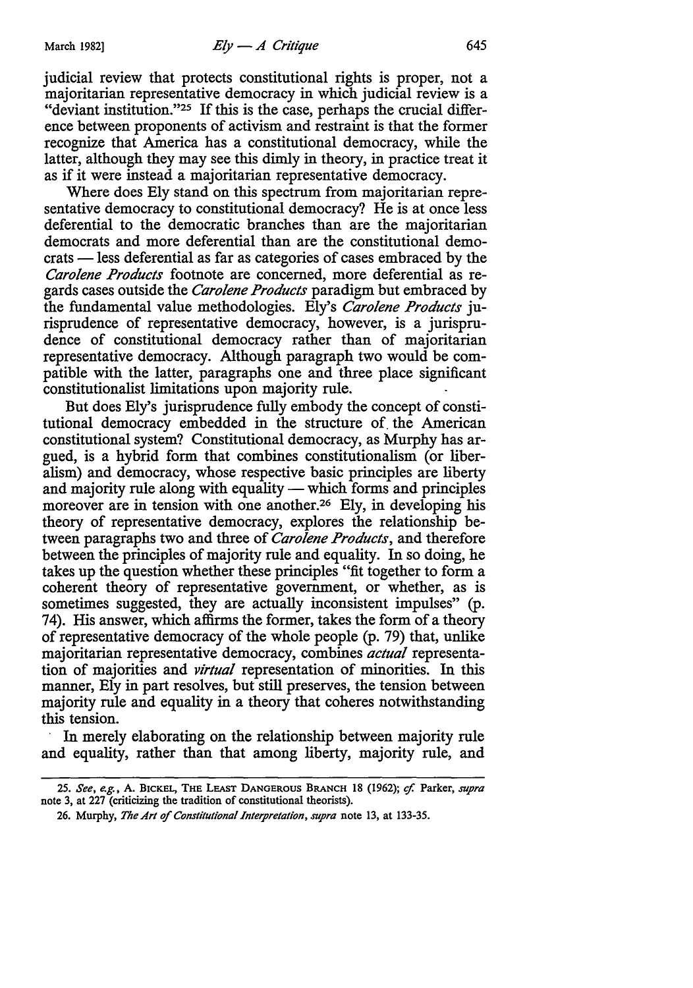judicial review that protects constitutional rights is proper, not a majoritarian representative democracy in which judicial review is a "deviant institution."25 If this is the case, perhaps the crucial difference between proponents of activism and restraint is that the former recognize that America has a constitutional democracy, while the latter, although they may see this dimly in theory, in practice treat it as if it were instead a majoritarian representative democracy.

Where does Ely stand on this spectrum from majoritarian representative democracy to constitutional democracy? He is at once less deferential to the democratic branches than are the majoritarian democrats and more deferential than are the constitutional democrats - less deferential as far as categories of cases embraced by the *Carotene Products* footnote are concerned, more deferential as regards cases outside the *Carotene Products* paradigm but embraced by the fundamental value methodologies. Ely's *Carotene Products* jurisprudence of representative democracy, however, is a jurisprudence of constitutional democracy rather than of majoritarian representative democracy. Although paragraph two would be compatible with the latter, paragraphs one and three place significant constitutionalist limitations upon majority rule. .

But does Ely's jurisprudence fully embody the concept of constitutional democracy embedded in the structure of. the American constitutional system? Constitutional democracy, as Murphy has argued, is a hybrid form that combines constitutionalism (or liberalism) and democracy, whose respective basic principles are liberty and majority rule along with equality  $-$  which forms and principles moreover are in tension with one another.<sup>26</sup> Ely, in developing his theory of representative democracy, explores the relationship between paragraphs two and three of *Carotene Products,* and therefore between the principles of majority rule and equality. In so doing, he takes up the question whether these principles "fit together to form a coherent theory of representative government, or whether, as is sometimes suggested, they are actually inconsistent impulses" (p. 74). His answer, which affirms the former, takes the form of a theory of representative democracy of the whole people (p. 79) that, unlike majoritarian representative democracy, combines *actual* representation of majorities and *virtual* representation of minorities. In this manner, Ely in part resolves, but still preserves, the tension between majority rule and equality in a theory that coheres notwithstanding this tension.

In merely elaborating on the relationship between majority rule and equality, rather than that among liberty, majority rule, and

<sup>25.</sup> *See, e.g.,* A. BICKEL, THE LEAST DANGEROUS BRANCH 18 (1962); *cf.* Parker, *supra*  note 3, at 227 (criticizing the tradition of constitutional theorists).

<sup>26.</sup> Murphy, *The Art of Constitutional Interpretation, supra* note 13, at 133-35.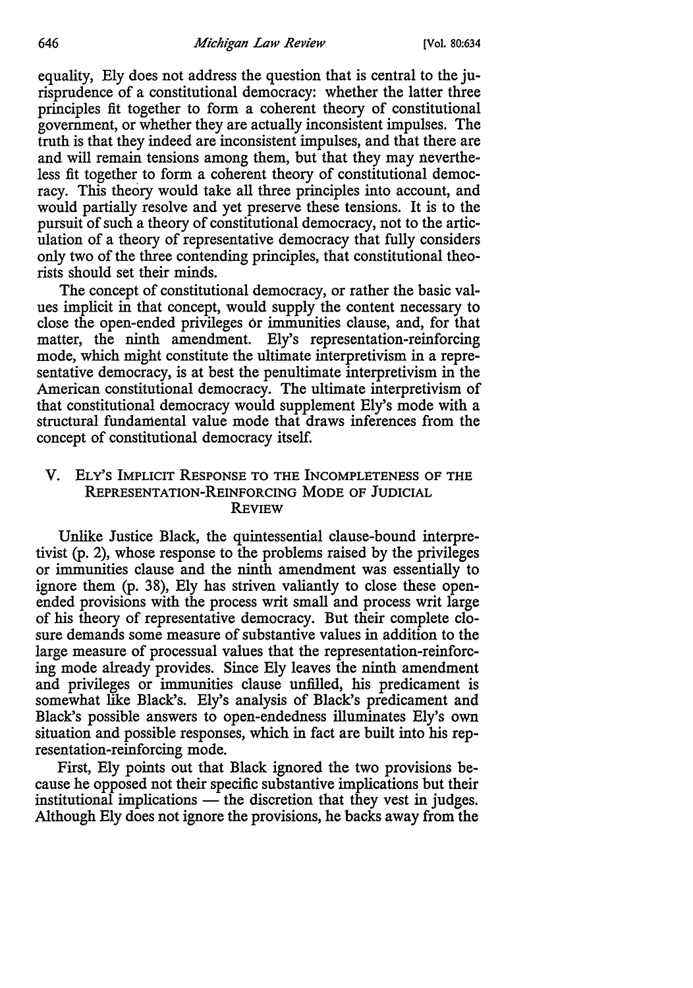equality, Ely does not address the question that is central to the jurisprudence of a constitutional democracy: whether the latter three principles fit together to form a coherent theory of constitutional government, or whether they are actually inconsistent impulses. The truth is that they indeed are inconsistent impulses, and that there are and will remain tensions among them, but that they may nevertheless fit together to form a coherent theory of constitutional democracy. This theory would take all three principles into account, and would partially resolve and yet preserve these tensions. It is to the pursuit of such a theory of constitutional democracy, not to the articulation of a theory of representative democracy that fully considers only two of the three contending principles, that constitutional theorists should set their minds.

The concept of constitutional democracy, or rather the basic values implicit in that concept, would supply the content necessary to close the open-ended privileges or immunities clause, and, for that matter, the ninth amendment. Ely's representation-reinforcing mode, which might constitute the ultimate interpretivism in a representative democracy, is at best the penultimate interpretivism in the American constitutional democracy. The ultimate interpretivism of that constitutional democracy would supplement Ely's mode with a structural fundamental value mode that draws inferences from the concept of constitutional democracy itself.

#### V. ELY'S IMPLICIT RESPONSE TO THE INCOMPLETENESS OF THE REPRESENTATION-REINFORCING MODE OF JUDICIAL **REVIEW**

Unlike Justice Black, the quintessential clause-bound interpretivist (p. 2), whose response to the problems raised by the privileges or immunities clause and the ninth amendment was essentially to ignore them (p. 38), Ely has striven valiantly to close these openended provisions with the process writ small and process writ large of his theory of representative democracy. But their complete closure demands some measure of substantive values in addition to the large measure of processual values that the representation-reinforcing mode already provides. Since Ely leaves the ninth amendment and privileges or immunities clause unfilled, his predicament is somewhat like Black's. Ely's analysis of Black's predicament and Black's possible answers to open-endedness illuminates Ely's own situation and possible responses, which in fact are built into his representation-reinforcing mode.

First, Ely points out that Black ignored the two provisions because he opposed not their specific substantive implications but their institutional implications — the discretion that they vest in judges. Although Ely does not ignore the provisions, he backs away from the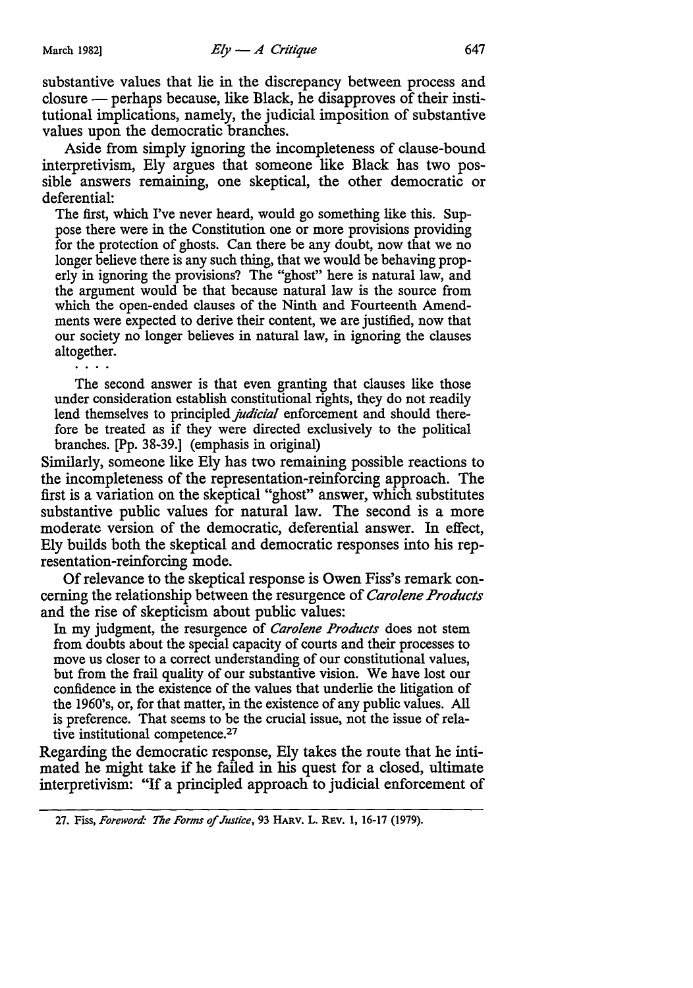substantive values that lie in the discrepancy between process and closure — perhaps because, like Black, he disapproves of their institutional implications, namely, the judicial imposition of substantive values upon the democratic branches.

Aside from simply ignoring the incompleteness of clause-bound interpretivism, Ely argues that someone like Black has two possible answers remaining, one skeptical, the other democratic or deferential:

The first, which I've never heard, would go something like this. Suppose there were in the Constitution one or more provisions providing for the protection of ghosts. Can there be any doubt, now that we no longer believe there is any such thing, that we would be behaving properly in ignoring the provisions? The "ghost" here is natural law, and the argument would be that because natural law is the source from which the open-ended clauses of the Ninth and Fourteenth Amendments were expected to derive their content, we are justified, now that our society no longer believes in natural law, in ignoring the clauses altogether.

The second answer is that even granting that clauses like those under consideration establish constitutional rights, they do not readily lend themselves to principled *judicial* enforcement and should therefore be treated as if they were directed exclusively to the political branches. [Pp. 38-39.] (emphasis in original)

Similarly, someone like Ely has two remaining possible reactions to the incompleteness of the representation-reinforcing approach. The first is a variation on the skeptical "ghost" answer, which substitutes substantive public values for natural law. The second is a more moderate version of the democratic, deferential answer. In effect, Ely builds both the skeptical and democratic responses into his representation-reinforcing mode.

Of relevance to the skeptical response is Owen Fiss's remark concerning the relationship between the resurgence of *Carolene Products*  and the rise of skepticism about public values:

In my judgment, the resurgence of *Carolene Products* does not stem from doubts about the special capacity of courts and their processes to move us closer to a correct understanding of our constitutional values, but from the frail quality of our substantive vision. We have lost our confidence in the existence of the values that underlie the litigation of the 1960's, or, for that matter, in the existence of any public values. All is preference. That seems to be the crucial issue, not the issue of relative institutional competence.<sup>27</sup>

Regarding the democratic response, Ely takes the route that he intimated he might take if he failed in his quest for a closed, ultimate interpretivism: "If a principled approach to judicial enforcement of

27. Fiss, *Foreword: The Forms of Justice,* 93 HARV. L. REV. 1, 16-17 (1979).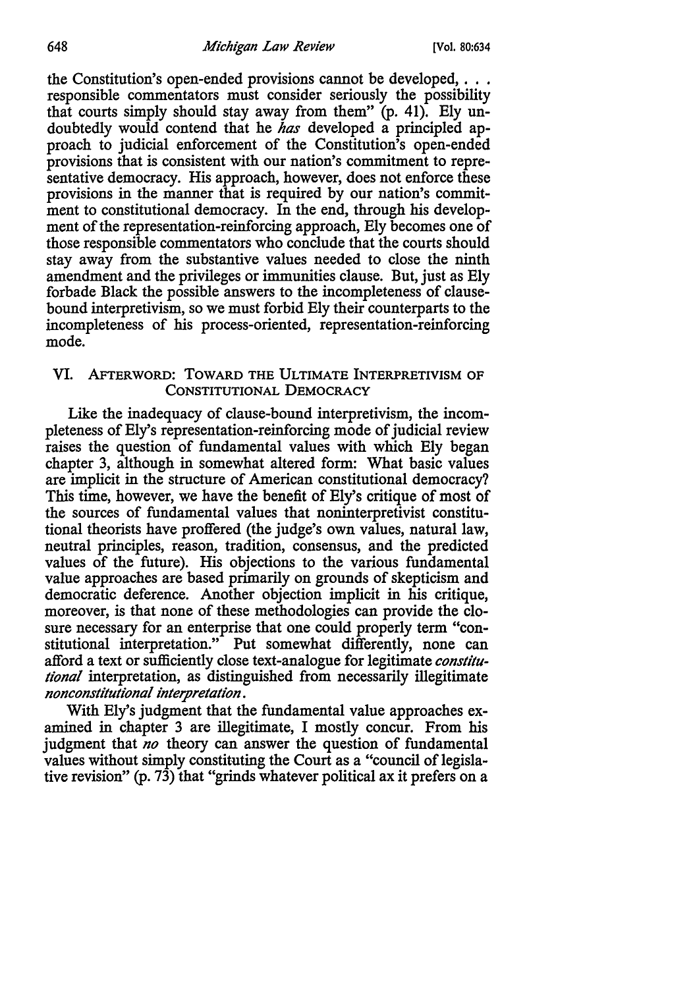the Constitution's open-ended provisions cannot be developed, ... responsible commentators must consider seriously the possibility that courts simply should stay away from them" (p. 41). Ely undoubtedly would contend that he *has* developed a principled approach to judicial enforcement of the Constitution's open-ended provisions that is consistent with our nation's commitment to representative democracy. His approach, however, does not enforce these provisions in the manner that is required by our nation's commitment to constitutional democracy. In the end, through his development of the representation-reinforcing approach, Ely becomes one of those responsible commentators who conclude that the courts should stay away from the substantive values needed to close the ninth amendment and the privileges or immunities clause. But, just as Ely forbade Black the possible answers to the incompleteness of clausebound interpretivism, so we must forbid Ely their counterparts to the incompleteness of his process-oriented, representation-reinforcing mode.

#### VI. AFTERWORD: TOWARD THE ULTIMATE INTERPRETIVISM OF **CONSTITUTIONAL DEMOCRACY**

Like the inadequacy of clause-bound interpretivism, the incompleteness of Ely's representation-reinforcing mode of judicial review raises the question of fundamental values with which Ely began chapter 3, although in somewhat altered form: What basic values are implicit in the structure of American constitutional democracy? This time, however, we have the benefit of Ely's critique of most of the sources of fundamental values that noninterpretivist constitutional theorists have proffered (the judge's own values, natural law, neutral principles, reason, tradition, consensus, and the predicted values of the future). His objections to the various fundamental value approaches are based primarily on grounds of skepticism and democratic deference. Another objection implicit in his critique, moreover, is that none of these methodologies can provide the closure necessary for an enterprise that one could properly term "constitutional interpretation." Put somewhat differently, none can afford a text or sufficiently close text-analogue for legitimate *constitutional* interpretation, as distinguished from necessarily illegitimate *nonconstitutional interpretation.* 

With Ely's judgment that the fundamental value approaches examined in chapter 3 are illegitimate, I mostly concur. From his judgment that *no* theory can answer the question of fundamental values without simply constituting the Court as a "council of legislative revision" (p. 73) that "grinds whatever political ax it prefers on a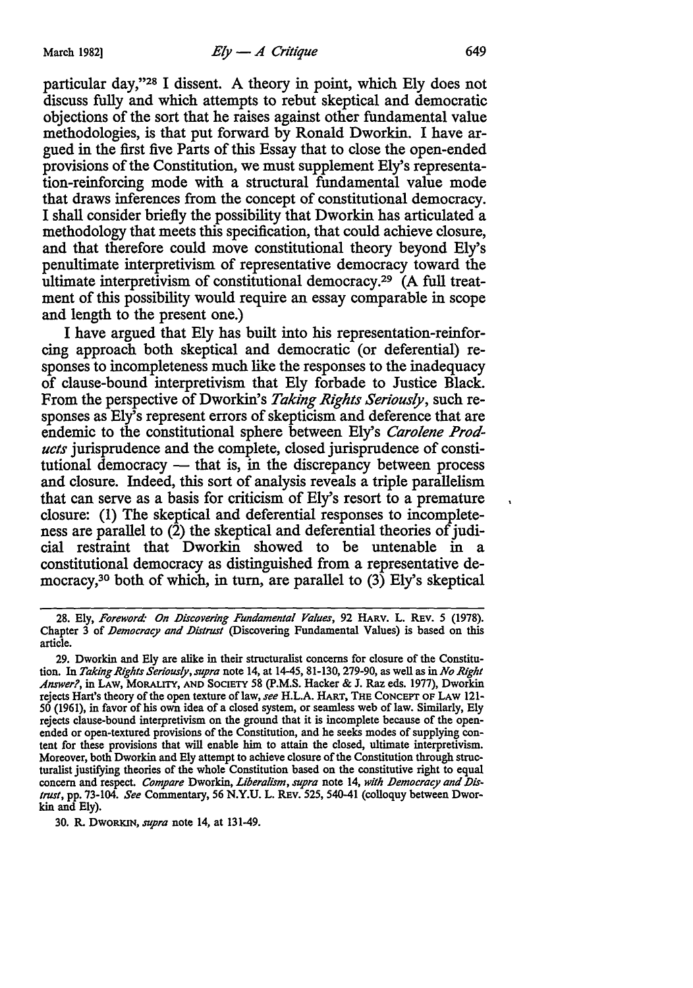particular day,"28 I dissent. A theory in point, which Ely does not discuss fully and which attempts to rebut skeptical and democratic objections of the sort that he raises against other fundamental value methodologies, is that put forward by Ronald Dworkin. I have argued in the first five Parts of this Essay that to close the open-ended provisions of the Constitution, we must supplement Ely's representation-reinforcing mode with a structural fundamental value mode that draws inferences from the concept of constitutional democracy. I shall consider briefly the possibility that Dworkin has articulated a methodology that meets this specification, that could achieve closure, and that therefore could move constitutional theory beyond Ely's penultimate interpretivism of representative democracy toward the ultimate interpretivism of constitutional democracy.29 (A full treatment of this possibility would require an essay comparable in scope and length to the present one.)

I have argued that Ely has built into his representation-reinforcing approach both skeptical and democratic (or deferential) responses to incompleteness much like the responses to the inadequacy of clause-bound interpretivism that Ely forbade to Justice Black. From the perspective of Dworkin's *Taking Rights Seriously,* such responses as Ely's represent errors of skepticism and deference that are endemic to the constitutional sphere between Ely's *Carotene Products* jurisprudence and the complete, closed jurisprudence of constitutional democracy - that is, in the discrepancy between process and closure. Indeed, this sort of analysis reveals a triple parallelism that can serve as a basis for criticism of Ely's resort to a premature closure: (I) The skeptical and deferential responses to incompleteness are parallel to (2) the skeptical and deferential theories of judicial restraint that Dworkin showed to be untenable in a constitutional democracy as distinguished from a representative democracy,<sup>30</sup> both of which, in turn, are parallel to (3) Ely's skeptical

28. Ely, *Foreword· On Discovering Fundamental Values,* 92 HARV. L. REv. *5* (1978). Chapter 3 of *Democracy and Distrust* (Discovering Fundamental Values) is based on this article.

30. R. DWORKIN, *supra* note 14, at 131-49.

<sup>29.</sup> Dworkin and Ely are alike in their structuralist concerns for closure of the Constitution. In *Taking Rights Seriously, supra* note 14, at 14-45, 81-130, 279-90, as well as in *No Right Answer?,* in LAW, MORALITY, AND SOCIETY 58 (P.M.S. Hacker & J. Raz eds. 1977), Dworkin rejects Hart's theory of the open texture oflaw, *see* H.L.A. HART, THE CONCEPT OF LAW 121- 50 (1961), in favor of his own idea of a closed system, or seamless web oflaw. Similarly, Ely rejects clause-bound interpretivism on the ground that it is incomplete because of the openended or open-textured provisions of the Constitution, and he seeks modes of supplying content for these provisions that will enable him to attain the closed, ultimate interpretivism. Moreover, both Dworkin and Ely attempt to achieve closure of the Constitution through structuralist justifying theories of the whole Constitution based on the constitutive right to equal concern and respect. *Compare* Dworkin, *Liberalism, supra* note 14, *with Democracy and Distrust,* pp. 73-104. *See* Commentary, 56 N.Y.U. L. REv. 525, 540-41 (colloquy between Dworkin and Ely).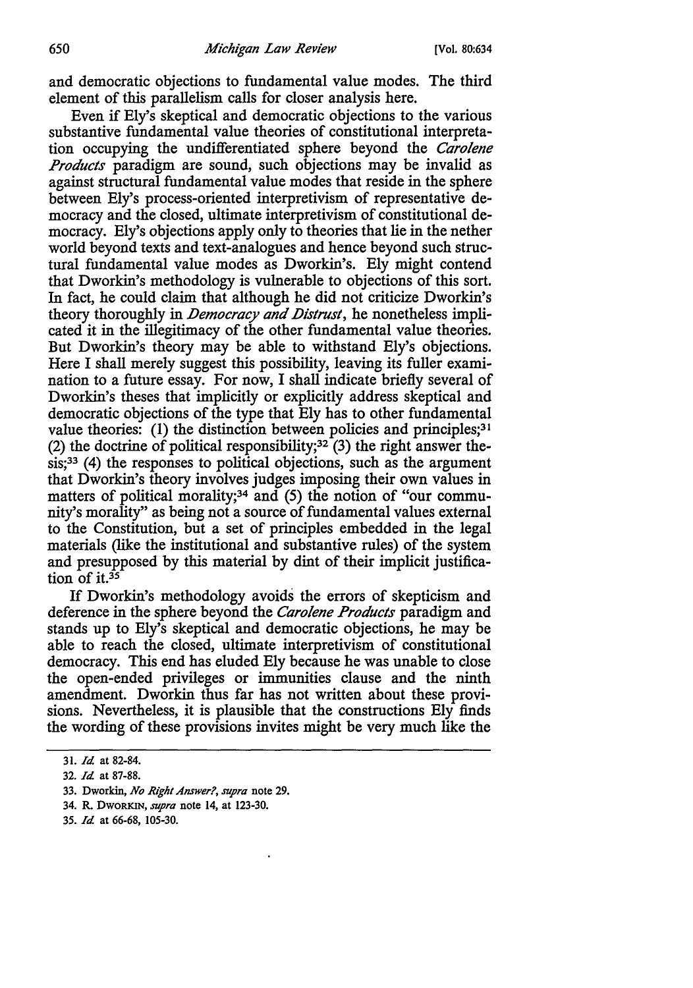and democratic objections to fundamental value modes. The third element of this parallelism calls for closer analysis here.

Even if Ely's skeptical and democratic objections to the various substantive fundamental value theories of constitutional interpretation occupying the undifferentiated sphere beyond the *Carotene Products* paradigm are sound, such objections may be invalid as against structural fundamental value modes that reside in the sphere between Ely's process-oriented interpretivism of representative democracy and the closed, ultimate interpretivism of constitutional democracy. Ely's objections apply only to theories that lie in the nether world beyond texts and text-analogues and hence beyond such structural fundamental value modes as Dworkin's. Ely might contend that Dworkin's methodology is vulnerable to objections of this sort. In fact, he could claim that although he did not criticize Dworkin's theory thoroughly in *Democracy and Distrust*, he nonetheless implicated it in the illegitimacy of the other fundamental value theories. But Dworkin's theory may be able to withstand Ely's objections. Here I shall merely suggest this possibility, leaving its fuller examination to a future essay. For now, I shall indicate briefly several of Dworkin's theses that implicitly or explicitly address skeptical and democratic objections of the type that Ely has to other fundamental value theories: (1) the distinction between policies and principles;<sup>31</sup> (2) the doctrine of political responsibility;<sup>32</sup> $(3)$  the right answer thesis;<sup>33</sup> (4) the responses to political objections, such as the argument that Dworkin's theory involves judges imposing their own values in matters of political morality;<sup>34</sup> and (5) the notion of "our community's morality" as being not a source of fundamental values external to the Constitution, but a set of principles embedded in the legal materials (like the institutional and substantive rules) of the system and presupposed by this material by dint of their implicit justification of it. $35$ 

If Dworkin's methodology avoids the errors of skepticism and deference in the sphere beyond the *Carotene Products* paradigm and stands up to Ely's skeptical and democratic objections, he may be able to reach the closed, ultimate interpretivism of constitutional democracy. This end has eluded Ely because he was unable to close the open-ended privileges or immunities clause and the ninth amendment. Dworkin thus far has not written about these provisions. Nevertheless, it is plausible that the constructions Ely finds the wording of these provisions invites might be very much like the

<sup>31.</sup> *Id.* at 82-84.

<sup>32.</sup> *Id.* at 87-88.

<sup>33.</sup> Dworkin, *No Right Answer?, supra* note 29.

<sup>34.</sup> R. DWORKIN, *supra* note 14, at 123-30.

<sup>35.</sup> *Id.* at 66-68, 105-30.